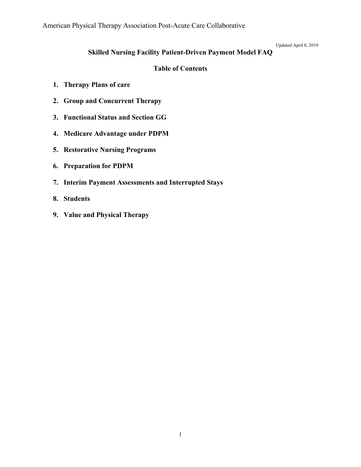Updated April 8, 2019

## **Skilled Nursing Facility Patient-Driven Payment Model FAQ**

### **Table of Contents**

- **1. [Therapy Plans of care](#page-1-0)**
- **2. [Group and Concurrent Therapy](#page-2-0)**
- **3. [Functional Status and Section GG](#page-2-0)**
- **4. [Medicare Advantage under PDPM](#page-3-0)**
- **5. [Restorative Nursing Programs](#page-3-0)**
- **6. [Preparation for PDPM](#page-3-0)**
- **7. [Interim Payment Assessments and Interrupted Stays](#page-5-0)**
- **8. [Students](#page-6-0)**
- **[9. Value and Physical Therapy](#page-6-0)**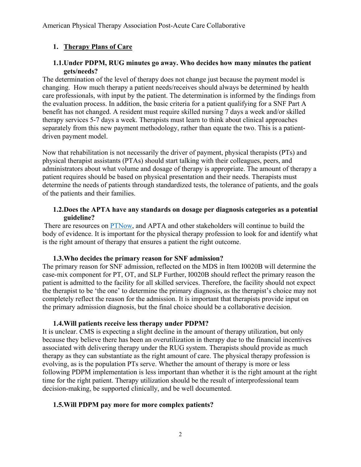## <span id="page-1-0"></span>**1. Therapy Plans of Care**

### **1.1.Under PDPM, RUG minutes go away. Who decides how many minutes the patient gets/needs?**

The determination of the level of therapy does not change just because the payment model is changing. How much therapy a patient needs/receives should always be determined by health care professionals, with input by the patient. The determination is informed by the findings from the evaluation process. In addition, the basic criteria for a patient qualifying for a SNF Part A benefit has not changed. A resident must require skilled nursing 7 days a week and/or skilled therapy services 5-7 days a week. Therapists must learn to think about clinical approaches separately from this new payment methodology, rather than equate the two. This is a patientdriven payment model.

Now that rehabilitation is not necessarily the driver of payment, physical therapists (PTs) and physical therapist assistants (PTAs) should start talking with their colleagues, peers, and administrators about what volume and dosage of therapy is appropriate. The amount of therapy a patient requires should be based on physical presentation and their needs. Therapists must determine the needs of patients through standardized tests, the tolerance of patients, and the goals of the patients and their families.

### **1.2.Does the APTA have any standards on dosage per diagnosis categories as a potential guideline?**

There are resources on **PTNow**, and APTA and other stakeholders will continue to build the body of evidence. It is important for the physical therapy profession to look for and identify what is the right amount of therapy that ensures a patient the right outcome.

#### **1.3.Who decides the primary reason for SNF admission?**

The primary reason for SNF admission, reflected on the MDS in Item I0020B will determine the case-mix component for PT, OT, and SLP Further, I0020B should reflect the primary reason the patient is admitted to the facility for all skilled services. Therefore, the facility should not expect the therapist to be 'the one' to determine the primary diagnosis, as the therapist's choice may not completely reflect the reason for the admission. It is important that therapists provide input on the primary admission diagnosis, but the final choice should be a collaborative decision.

### **1.4.Will patients receive less therapy under PDPM?**

It is unclear. CMS is expecting a slight decline in the amount of therapy utilization, but only because they believe there has been an overutilization in therapy due to the financial incentives associated with delivering therapy under the RUG system. Therapists should provide as much therapy as they can substantiate as the right amount of care. The physical therapy profession is evolving, as is the population PTs serve. Whether the amount of therapy is more or less following PDPM implementation is less important than whether it is the right amount at the right time for the right patient. Therapy utilization should be the result of interprofessional team decision-making, be supported clinically, and be well documented.

### **1.5.Will PDPM pay more for more complex patients?**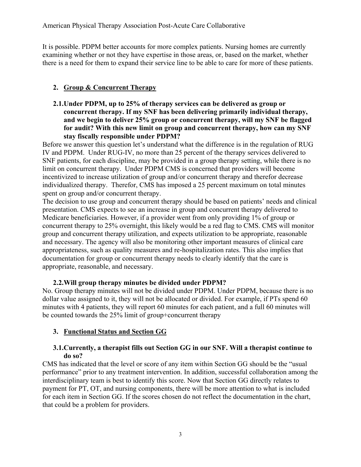<span id="page-2-0"></span>It is possible. PDPM better accounts for more complex patients. Nursing homes are currently examining whether or not they have expertise in those areas, or, based on the market, whether there is a need for them to expand their service line to be able to care for more of these patients.

## **2. Group & Concurrent Therapy**

**2.1.Under PDPM, up to 25% of therapy services can be delivered as group or concurrent therapy. If my SNF has been delivering primarily individual therapy, and we begin to deliver 25% group or concurrent therapy, will my SNF be flagged for audit? With this new limit on group and concurrent therapy, how can my SNF stay fiscally responsible under PDPM?** 

Before we answer this question let's understand what the difference is in the regulation of RUG IV and PDPM. Under RUG-IV, no more than 25 percent of the therapy services delivered to SNF patients, for each discipline, may be provided in a group therapy setting, while there is no limit on concurrent therapy. Under PDPM CMS is concerned that providers will become incentivized to increase utilization of group and/or concurrent therapy and therefor decrease individualized therapy. Therefor, CMS has imposed a 25 percent maximum on total minutes spent on group and/or concurrent therapy.

The decision to use group and concurrent therapy should be based on patients' needs and clinical presentation. CMS expects to see an increase in group and concurrent therapy delivered to Medicare beneficiaries. However, if a provider went from only providing 1% of group or concurrent therapy to 25% overnight, this likely would be a red flag to CMS. CMS will monitor group and concurrent therapy utilization, and expects utilization to be appropriate, reasonable and necessary. The agency will also be monitoring other important measures of clinical care appropriateness, such as quality measures and re-hospitalization rates. This also implies that documentation for group or concurrent therapy needs to clearly identify that the care is appropriate, reasonable, and necessary.

## **2.2.Will group therapy minutes be divided under PDPM?**

No. Group therapy minutes will not be divided under PDPM. Under PDPM, because there is no dollar value assigned to it, they will not be allocated or divided. For example, if PTs spend 60 minutes with 4 patients, they will report 60 minutes for each patient, and a full 60 minutes will be counted towards the 25% limit of group+concurrent therapy

## **3. Functional Status and Section GG**

### **3.1.Currently, a therapist fills out Section GG in our SNF. Will a therapist continue to do so?**

CMS has indicated that the level or score of any item within Section GG should be the "usual performance" prior to any treatment intervention. In addition, successful collaboration among the interdisciplinary team is best to identify this score. Now that Section GG directly relates to payment for PT, OT, and nursing components, there will be more attention to what is included for each item in Section GG. If the scores chosen do not reflect the documentation in the chart, that could be a problem for providers.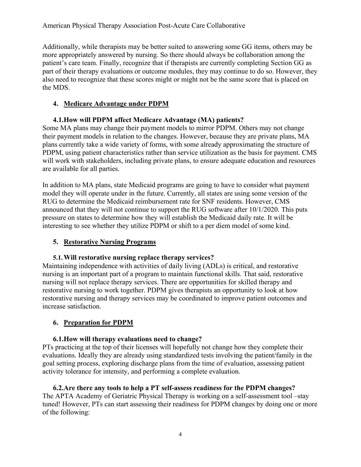<span id="page-3-0"></span>Additionally, while therapists may be better suited to answering some GG items, others may be more appropriately answered by nursing. So there should always be collaboration among the patient's care team. Finally, recognize that if therapists are currently completing Section GG as part of their therapy evaluations or outcome modules, they may continue to do so. However, they also need to recognize that these scores might or might not be the same score that is placed on the MDS.

## **4. Medicare Advantage under PDPM**

# **4.1.How will PDPM affect Medicare Advantage (MA) patients?**

Some MA plans may change their payment models to mirror PDPM. Others may not change their payment models in relation to the changes. However, because they are private plans, MA plans currently take a wide variety of forms, with some already approximating the structure of PDPM, using patient characteristics rather than service utilization as the basis for payment. CMS will work with stakeholders, including private plans, to ensure adequate education and resources are available for all parties.

In addition to MA plans, state Medicaid programs are going to have to consider what payment model they will operate under in the future. Currently, all states are using some version of the RUG to determine the Medicaid reimbursement rate for SNF residents. However, CMS announced that they will not continue to support the RUG software after 10/1/2020. This puts pressure on states to determine how they will establish the Medicaid daily rate. It will be interesting to see whether they utilize PDPM or shift to a per diem model of some kind.

# **5. Restorative Nursing Programs**

## **5.1.Will restorative nursing replace therapy services?**

Maintaining independence with activities of daily living (ADLs) is critical, and restorative nursing is an important part of a program to maintain functional skills. That said, restorative nursing will not replace therapy services. There are opportunities for skilled therapy and restorative nursing to work together. PDPM gives therapists an opportunity to look at how restorative nursing and therapy services may be coordinated to improve patient outcomes and increase satisfaction.

# **6. Preparation for PDPM**

# **6.1.How will therapy evaluations need to change?**

PTs practicing at the top of their licenses will hopefully not change how they complete their evaluations. Ideally they are already using standardized tests involving the patient/family in the goal setting process, exploring discharge plans from the time of evaluation, assessing patient activity tolerance for intensity, and performing a complete evaluation.

#### **6.2.Are there any tools to help a PT self-assess readiness for the PDPM changes?**  The APTA Academy of Geriatric Physical Therapy is working on a self-assessment tool –stay tuned! However, PTs can start assessing their readiness for PDPM changes by doing one or more of the following: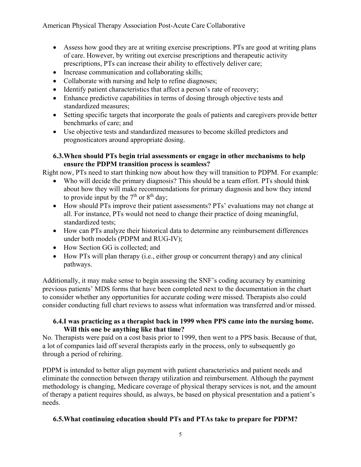American Physical Therapy Association Post-Acute Care Collaborative

- Assess how good they are at writing exercise prescriptions. PTs are good at writing plans of care. However, by writing out exercise prescriptions and therapeutic activity prescriptions, PTs can increase their ability to effectively deliver care;
- Increase communication and collaborating skills;
- Collaborate with nursing and help to refine diagnoses;
- Identify patient characteristics that affect a person's rate of recovery;
- Enhance predictive capabilities in terms of dosing through objective tests and standardized measures;
- Setting specific targets that incorporate the goals of patients and caregivers provide better benchmarks of care; and
- Use objective tests and standardized measures to become skilled predictors and prognosticators around appropriate dosing.

### **6.3.When should PTs begin trial assessments or engage in other mechanisms to help ensure the PDPM transition process is seamless?**

Right now, PTs need to start thinking now about how they will transition to PDPM. For example:

- Who will decide the primary diagnosis? This should be a team effort. PTs should think about how they will make recommendations for primary diagnosis and how they intend to provide input by the  $7<sup>th</sup>$  or  $8<sup>th</sup>$  day;
- How should PTs improve their patient assessments? PTs' evaluations may not change at all. For instance, PTs would not need to change their practice of doing meaningful, standardized tests;
- How can PTs analyze their historical data to determine any reimbursement differences under both models (PDPM and RUG-IV);
- How Section GG is collected; and
- How PTs will plan therapy (i.e., either group or concurrent therapy) and any clinical pathways.

Additionally, it may make sense to begin assessing the SNF's coding accuracy by examining previous patients' MDS forms that have been completed next to the documentation in the chart to consider whether any opportunities for accurate coding were missed. Therapists also could consider conducting full chart reviews to assess what information was transferred and/or missed.

### **6.4.I was practicing as a therapist back in 1999 when PPS came into the nursing home. Will this one be anything like that time?**

No. Therapists were paid on a cost basis prior to 1999, then went to a PPS basis. Because of that, a lot of companies laid off several therapists early in the process, only to subsequently go through a period of rehiring.

PDPM is intended to better align payment with patient characteristics and patient needs and eliminate the connection between therapy utilization and reimbursement. Although the payment methodology is changing, Medicare coverage of physical therapy services is not, and the amount of therapy a patient requires should, as always, be based on physical presentation and a patient's needs.

## **6.5.What continuing education should PTs and PTAs take to prepare for PDPM?**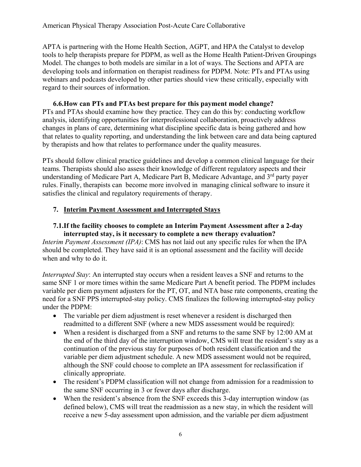<span id="page-5-0"></span>APTA is partnering with the Home Health Section, AGPT, and HPA the Catalyst to develop tools to help therapists prepare for PDPM, as well as the Home Health Patient-Driven Groupings Model. The changes to both models are similar in a lot of ways. The Sections and APTA are developing tools and information on therapist readiness for PDPM. Note: PTs and PTAs using webinars and podcasts developed by other parties should view these critically, especially with regard to their sources of information.

### **6.6.How can PTs and PTAs best prepare for this payment model change?**  PTs and PTAs should examine how they practice. They can do this by: conducting workflow analysis, identifying opportunities for interprofessional collaboration, proactively address changes in plans of care, determining what discipline specific data is being gathered and how that relates to quality reporting, and understanding the link between care and data being captured by therapists and how that relates to performance under the quality measures.

PTs should follow clinical practice guidelines and develop a common clinical language for their teams. Therapists should also assess their knowledge of different regulatory aspects and their understanding of Medicare Part A, Medicare Part B, Medicare Advantage, and  $3<sup>rd</sup>$  party payer rules. Finally, therapists can become more involved in managing clinical software to insure it satisfies the clinical and regulatory requirements of therapy.

## **7. Interim Payment Assessment and Interrupted Stays**

### **7.1.If the facility chooses to complete an Interim Payment Assessment after a 2-day interrupted stay, is it necessary to complete a new therapy evaluation?**

*Interim Payment Assessment (IPA)*: CMS has not laid out any specific rules for when the IPA should be completed. They have said it is an optional assessment and the facility will decide when and why to do it.

*Interrupted Stay*: An interrupted stay occurs when a resident leaves a SNF and returns to the same SNF 1 or more times within the same Medicare Part A benefit period. The PDPM includes variable per diem payment adjusters for the PT, OT, and NTA base rate components, creating the need for a SNF PPS interrupted-stay policy. CMS finalizes the following interrupted-stay policy under the PDPM:

- The variable per diem adjustment is reset whenever a resident is discharged then readmitted to a different SNF (where a new MDS assessment would be required):
- When a resident is discharged from a SNF and returns to the same SNF by 12:00 AM at the end of the third day of the interruption window, CMS will treat the resident's stay as a continuation of the previous stay for purposes of both resident classification and the variable per diem adjustment schedule. A new MDS assessment would not be required, although the SNF could choose to complete an IPA assessment for reclassification if clinically appropriate.
- The resident's PDPM classification will not change from admission for a readmission to the same SNF occurring in 3 or fewer days after discharge.
- When the resident's absence from the SNF exceeds this 3-day interruption window (as defined below), CMS will treat the readmission as a new stay, in which the resident will receive a new 5-day assessment upon admission, and the variable per diem adjustment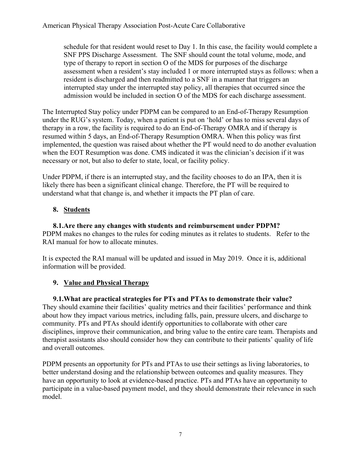<span id="page-6-0"></span>schedule for that resident would reset to Day 1. In this case, the facility would complete a SNF PPS Discharge Assessment. The SNF should count the total volume, mode, and type of therapy to report in section O of the MDS for purposes of the discharge assessment when a resident's stay included 1 or more interrupted stays as follows: when a resident is discharged and then readmitted to a SNF in a manner that triggers an interrupted stay under the interrupted stay policy, all therapies that occurred since the admission would be included in section O of the MDS for each discharge assessment.

The Interrupted Stay policy under PDPM can be compared to an End-of-Therapy Resumption under the RUG's system. Today, when a patient is put on 'hold' or has to miss several days of therapy in a row, the facility is required to do an End-of-Therapy OMRA and if therapy is resumed within 5 days, an End-of-Therapy Resumption OMRA. When this policy was first implemented, the question was raised about whether the PT would need to do another evaluation when the EOT Resumption was done. CMS indicated it was the clinician's decision if it was necessary or not, but also to defer to state, local, or facility policy.

Under PDPM, if there is an interrupted stay, and the facility chooses to do an IPA, then it is likely there has been a significant clinical change. Therefore, the PT will be required to understand what that change is, and whether it impacts the PT plan of care.

# **8. Students**

**8.1.Are there any changes with students and reimbursement under PDPM?**  PDPM makes no changes to the rules for coding minutes as it relates to students. Refer to the RAI manual for how to allocate minutes.

It is expected the RAI manual will be updated and issued in May 2019. Once it is, additional information will be provided.

# **9. Value and Physical Therapy**

## **9.1.What are practical strategies for PTs and PTAs to demonstrate their value?**

They should examine their facilities' quality metrics and their facilities' performance and think about how they impact various metrics, including falls, pain, pressure ulcers, and discharge to community. PTs and PTAs should identify opportunities to collaborate with other care disciplines, improve their communication, and bring value to the entire care team. Therapists and therapist assistants also should consider how they can contribute to their patients' quality of life and overall outcomes.

PDPM presents an opportunity for PTs and PTAs to use their settings as living laboratories, to better understand dosing and the relationship between outcomes and quality measures. They have an opportunity to look at evidence-based practice. PTs and PTAs have an opportunity to participate in a value-based payment model, and they should demonstrate their relevance in such model.